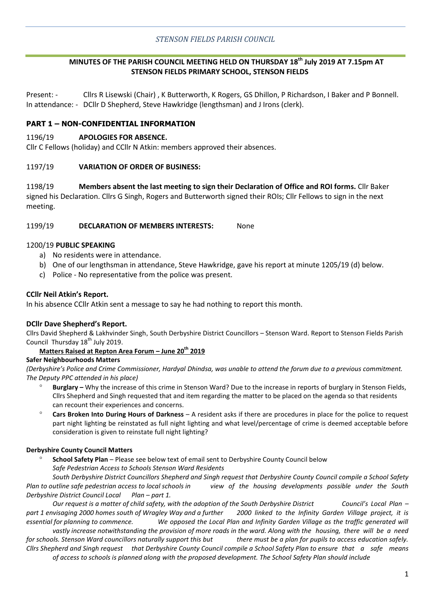# **MINUTES OF THE PARISH COUNCIL MEETING HELD ON THURSDAY 18th July 2019 AT 7.15pm AT STENSON FIELDS PRIMARY SCHOOL, STENSON FIELDS**

Present: - Cllrs R Lisewski (Chair) , K Butterworth, K Rogers, GS Dhillon, P Richardson, I Baker and P Bonnell. In attendance: - DCllr D Shepherd, Steve Hawkridge (lengthsman) and J Irons (clerk).

# **PART 1 – NON-CONFIDENTIAL INFORMATION**

### 1196/19 **APOLOGIES FOR ABSENCE.**

Cllr C Fellows (holiday) and CCllr N Atkin: members approved their absences.

### 1197/19 **VARIATION OF ORDER OF BUSINESS:**

1198/19 **Members absent the last meeting to sign their Declaration of Office and ROI forms.** Cllr Baker signed his Declaration. Cllrs G Singh, Rogers and Butterworth signed their ROIs; Cllr Fellows to sign in the next meeting.

### 1199/19 **DECLARATION OF MEMBERS INTERESTS:** None

#### 1200/19 **PUBLIC SPEAKING**

- a) No residents were in attendance.
- b) One of our lengthsman in attendance, Steve Hawkridge, gave his report at minute 1205/19 (d) below.
- c) Police No representative from the police was present.

#### **CCllr Neil Atkin's Report.**

In his absence CCllr Atkin sent a message to say he had nothing to report this month.

### **DCllr Dave Shepherd's Report.**

Cllrs David Shepherd & Lakhvinder Singh, South Derbyshire District Councillors – Stenson Ward. Report to Stenson Fields Parish Council Thursday  $18<sup>th</sup>$  July 2019.

## **Matters Raised at Repton Area Forum – June 20th 2019**

#### **Safer Neighbourhoods Matters**

*(Derbyshire's Police and Crime Commissioner, Hardyal Dhindsa, was unable to attend the forum due to a previous commitment. The Deputy PPC attended in his place)*

- **Burglary –** Why the increase of this crime in Stenson Ward? Due to the increase in reports of burglary in Stenson Fields, Cllrs Shepherd and Singh requested that and item regarding the matter to be placed on the agenda so that residents can recount their experiences and concerns.
- **Cars Broken Into During Hours of Darkness** A resident asks if there are procedures in place for the police to request part night lighting be reinstated as full night lighting and what level/percentage of crime is deemed acceptable before consideration is given to reinstate full night lighting?

### **Derbyshire County Council Matters**

 **School Safety Plan** – Please see below text of email sent to Derbyshire County Council below *Safe Pedestrian Access to Schools Stenson Ward Residents*

*South Derbyshire District Councillors Shepherd and Singh request that Derbyshire County Council compile a School Safety Plan to outline safe pedestrian access to local schools in view of the housing developments possible under the South Derbyshire District Council Local* Plan – part 1.

*Our request is a matter of child safety, with the adoption of the South Derbyshire District Council's Local Plan – part 1 envisaging 2000 homes south of Wragley Way and a further 2000 linked to the Infinity Garden Village project, it is essential for planning to commence. We opposed the Local Plan and Infinity Garden Village as the traffic generated will* 

*vastly increase notwithstanding the provision of more roads in the ward. Along with the housing, there will be a need for schools. Stenson Ward councillors naturally support this but there must be a plan for pupils to access education safely. Cllrs Shepherd and Singh request that Derbyshire County Council compile a School Safety Plan to ensure that a safe means* 

*of access to schools is planned along with the proposed development. The School Safety Plan should include*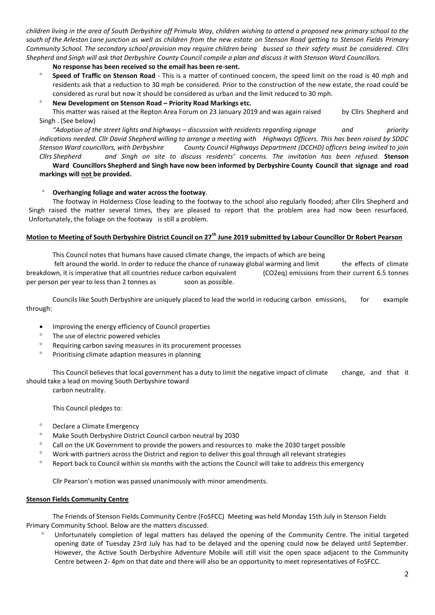*children living in the area of South Derbyshire off Primula Way, children wishing to attend a proposed new primary school to the south of the Arleston Lane junction as well as children from the new estate on Stenson Road getting to Stenson Fields Primary Community School. The secondary school provision may require children being bussed so their safety must be considered. Cllrs Shepherd and Singh will ask that Derbyshire County Council compile a plan and discuss it with Stenson Ward Councillors.* 

**No response has been received so the email has been re-sent.**

 **Speed of Traffic on Stenson Road** - This is a matter of continued concern, the speed limit on the road is 40 mph and residents ask that a reduction to 30 mph be considered. Prior to the construction of the new estate, the road could be considered as rural but now it should be considered as urban and the limit reduced to 30 mph.

#### **New Development on Stenson Road – Priority Road Markings etc.**

This matter was raised at the Repton Area Forum on 23 January 2019 and was again raised by Cllrs Shepherd and Singh . (See below)

*"Adoption of the street lights and highways – discussion with residents regarding signage and priority indications needed. Cllr David Shepherd willing to arrange a meeting with Highways Officers. This has been raised by SDDC Stenson Ward councillors, with Derbyshire County Council Highways Department (DCCHD) officers being invited to join Cllrs Shepherd and Singh on site to discuss residents' concerns. The invitation has been refused.* **Stenson** 

**Ward****Councillors Shepherd and Singh have now been informed by Derbyshire County Council that signage and road markings will not be provided.**

#### **Overhanging foliage and water across the footway**.

The footway in Holderness Close leading to the footway to the school also regularly flooded; after Cllrs Shepherd and Singh raised the matter several times, they are pleased to report that the problem area had now been resurfaced. Unfortunately, the foliage on the footway is still a problem.

### **Motion to Meeting of South Derbyshire District Council on 27th June 2019 submitted by Labour Councillor Dr Robert Pearson**

This Council notes that humans have caused climate change, the impacts of which are being

felt around the world. In order to reduce the chance of runaway global warming and limit the effects of climate breakdown, it is imperative that all countries reduce carbon equivalent (CO2eq) emissions from their current 6.5 tonnes per person per year to less than 2 tonnes as soon as possible.

Councils like South Derbyshire are uniquely placed to lead the world in reducing carbon emissions, for example through:

- Improving the energy efficiency of Council properties
- <sup>o</sup> The use of electric powered vehicles
- <sup>o</sup> Requiring carbon saving measures in its procurement processes
- <sup>o</sup> Prioritising climate adaption measures in planning

This Council believes that local government has a duty to limit the negative impact of climate change, and that it should take a lead on moving South Derbyshire toward carbon neutrality.

This Council pledges to:

- Declare a Climate Emergency
- Make South Derbyshire District Council carbon neutral by 2030
- $\degree$  Call on the UK Government to provide the powers and resources to make the 2030 target possible
- Work with partners across the District and region to deliver this goal through all relevant strategies
- Report back to Council within six months with the actions the Council will take to address this emergency

Cllr Pearson's motion was passed unanimously with minor amendments.

#### **Stenson Fields Community Centre**

The Friends of Stenson Fields Community Centre (FoSFCC) Meeting was held Monday 15th July in Stenson Fields Primary Community School. Below are the matters discussed.

 Unfortunately completion of legal matters has delayed the opening of the Community Centre. The initial targeted opening date of Tuesday 23rd July has had to be delayed and the opening could now be delayed until September. However, the Active South Derbyshire Adventure Mobile will still visit the open space adjacent to the Community Centre between 2- 4pm on that date and there will also be an opportunity to meet representatives of FoSFCC.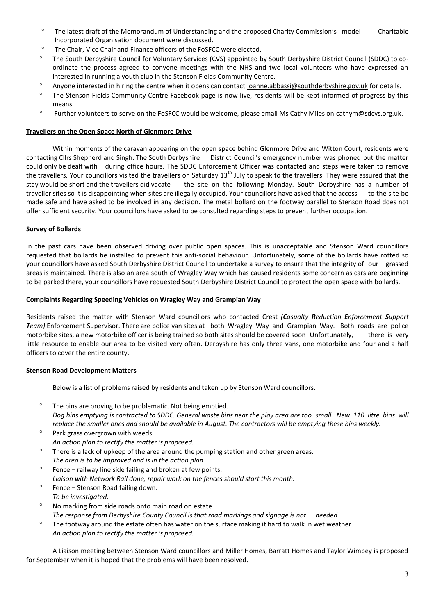- The latest draft of the Memorandum of Understanding and the proposed Charity Commission's model Charitable Incorporated Organisation document were discussed.
- <sup>o</sup> The Chair, Vice Chair and Finance officers of the FoSFCC were elected.
- <sup>o</sup> The South Derbyshire Council for Voluntary Services (CVS) appointed by South Derbyshire District Council (SDDC) to coordinate the process agreed to convene meetings with the NHS and two local volunteers who have expressed an interested in running a youth club in the Stenson Fields Community Centre.
- <sup>o</sup> Anyone interested in hiring the centre when it opens can contact joanne.abbassi@southderbyshire.gov.uk for details.
- <sup>o</sup> The Stenson Fields Community Centre Facebook page is now live, residents will be kept informed of progress by this means.
- <sup>o</sup> Further volunteers to serve on the FoSFCC would be welcome, please email Ms Cathy Miles on cathym@sdcvs.org.uk.

#### **Travellers on the Open Space North of Glenmore Drive**

Within moments of the caravan appearing on the open space behind Glenmore Drive and Witton Court, residents were contacting Cllrs Shepherd and Singh. The South Derbyshire District Council's emergency number was phoned but the matter could only be dealt with during office hours. The SDDC Enforcement Officer was contacted and steps were taken to remove the travellers. Your councillors visited the travellers on Saturday  $13<sup>th</sup>$  July to speak to the travellers. They were assured that the stay would be short and the travellers did vacate the site on the following Monday. South Derbyshire has a number of traveller sites so it is disappointing when sites are illegally occupied. Your councillors have asked that the access to the site be made safe and have asked to be involved in any decision. The metal bollard on the footway parallel to Stenson Road does not offer sufficient security. Your councillors have asked to be consulted regarding steps to prevent further occupation.

#### **Survey of Bollards**

In the past cars have been observed driving over public open spaces. This is unacceptable and Stenson Ward councillors requested that bollards be installed to prevent this anti-social behaviour. Unfortunately, some of the bollards have rotted so your councillors have asked South Derbyshire District Council to undertake a survey to ensure that the integrity of our grassed areas is maintained. There is also an area south of Wragley Way which has caused residents some concern as cars are beginning to be parked there, your councillors have requested South Derbyshire District Council to protect the open space with bollards.

#### **Complaints Regarding Speeding Vehicles on Wragley Way and Grampian Way**

Residents raised the matter with Stenson Ward councillors who contacted Crest *(Casualty Reduction Enforcement Support Team)* Enforcement Supervisor. There are police van sites at both Wragley Way and Grampian Way. Both roads are police motorbike sites, a new motorbike officer is being trained so both sites should be covered soon! Unfortunately, there is very little resource to enable our area to be visited very often. Derbyshire has only three vans, one motorbike and four and a half officers to cover the entire county.

#### **Stenson Road Development Matters**

Below is a list of problems raised by residents and taken up by Stenson Ward councillors.

- $\degree$  The bins are proving to be problematic. Not being emptied. *Dog bins emptying is contracted to SDDC. General waste bins near the play area are too small. New 110 litre bins will replace the smaller ones and should be available in August. The contractors will be emptying these bins weekly.*
- $\degree$  Park grass overgrown with weeds. *An action plan to rectify the matter is proposed.*
- $\degree$  There is a lack of upkeep of the area around the pumping station and other green areas. *The area is to be improved and is in the action plan.*
- $\degree$  Fence railway line side failing and broken at few points. *Liaison with Network Rail done, repair work on the fences should start this month.*
- $\degree$  Fence Stenson Road failing down.
- *To be investigated.* No marking from side roads onto main road on estate. *The response from Derbyshire County Council is that road markings and signage is not needed.*
- The footway around the estate often has water on the surface making it hard to walk in wet weather. *An action plan to rectify the matter is proposed.*

A Liaison meeting between Stenson Ward councillors and Miller Homes, Barratt Homes and Taylor Wimpey is proposed for September when it is hoped that the problems will have been resolved.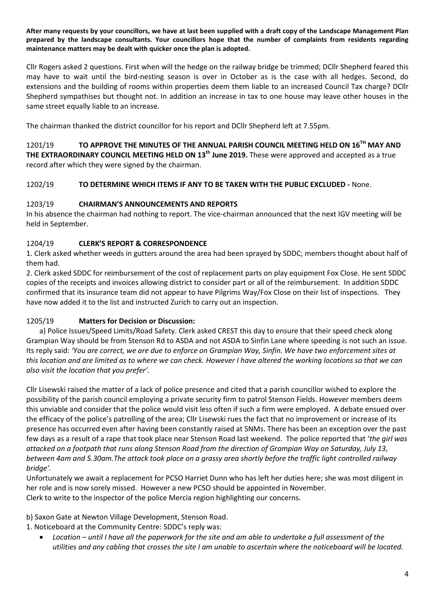**After many requests by your councillors, we have at last been supplied with a draft copy of the Landscape Management Plan prepared by the landscape consultants. Your councillors hope that the number of complaints from residents regarding maintenance matters may be dealt with quicker once the plan is adopted.**

Cllr Rogers asked 2 questions. First when will the hedge on the railway bridge be trimmed; DCllr Shepherd feared this may have to wait until the bird-nesting season is over in October as is the case with all hedges. Second, do extensions and the building of rooms within properties deem them liable to an increased Council Tax charge? DCllr Shepherd sympathises but thought not. In addition an increase in tax to one house may leave other houses in the same street equally liable to an increase.

The chairman thanked the district councillor for his report and DCllr Shepherd left at 7.55pm.

1201/19 **TO APPROVE THE MINUTES OF THE ANNUAL PARISH COUNCIL MEETING HELD ON 16TH MAY AND THE EXTRAORDINARY COUNCIL MEETING HELD ON 13th June 2019.** These were approved and accepted as a true record after which they were signed by the chairman.

# 1202/19 **TO DETERMINE WHICH ITEMS IF ANY TO BE TAKEN WITH THE PUBLIC EXCLUDED -** None.

# 1203/19 **CHAIRMAN'S ANNOUNCEMENTS AND REPORTS**

In his absence the chairman had nothing to report. The vice-chairman announced that the next IGV meeting will be held in September.

# 1204/19 **CLERK'S REPORT & CORRESPONDENCE**

1. Clerk asked whether weeds in gutters around the area had been sprayed by SDDC; members thought about half of them had.

2. Clerk asked SDDC for reimbursement of the cost of replacement parts on play equipment Fox Close. He sent SDDC copies of the receipts and invoices allowing district to consider part or all of the reimbursement. In addition SDDC confirmed that its insurance team did not appear to have Pilgrims Way/Fox Close on their list of inspections. They have now added it to the list and instructed Zurich to carry out an inspection.

# 1205/19 **Matters for Decision or Discussion:**

a) Police Issues/Speed Limits/Road Safety. Clerk asked CREST this day to ensure that their speed check along Grampian Way should be from Stenson Rd to ASDA and not ASDA to Sinfin Lane where speeding is not such an issue. Its reply said: *'You are correct, we are due to enforce on Grampian Way, Sinfin. We have two enforcement sites at this location and are limited as to where we can check. However I have altered the working locations so that we can also visit the location that you prefer'.*

Cllr Lisewski raised the matter of a lack of police presence and cited that a parish councillor wished to explore the possibility of the parish council employing a private security firm to patrol Stenson Fields. However members deem this unviable and consider that the police would visit less often if such a firm were employed. A debate ensued over the efficacy of the police's patrolling of the area; Cllr Lisewski rues the fact that no improvement or increase of its presence has occurred even after having been constantly raised at SNMs. There has been an exception over the past few days as a result of a rape that took place near Stenson Road last weekend. The police reported that '*the girl was attacked on a footpath that runs along Stenson Road from the direction of Grampian Way on Saturday, July 13, between 4am and 5.30am.The attack took place on a grassy area shortly before the traffic light controlled railway bridge'.* 

Unfortunately we await a replacement for PCSO Harriet Dunn who has left her duties here; she was most diligent in her role and is now sorely missed. However a new PCSO should be appointed in November. Clerk to write to the inspector of the police Mercia region highlighting our concerns.

b) Saxon Gate at Newton Village Development, Stenson Road.

1. Noticeboard at the Community Centre: SDDC's reply was:

 *Location – until I have all the paperwork for the site and am able to undertake a full assessment of the utilities and any cabling that crosses the site I am unable to ascertain where the noticeboard will be located.*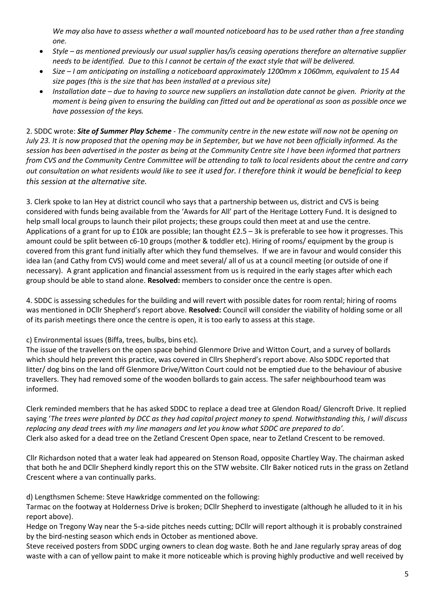*We may also have to assess whether a wall mounted noticeboard has to be used rather than a free standing one.* 

- *Style – as mentioned previously our usual supplier has/is ceasing operations therefore an alternative supplier needs to be identified. Due to this I cannot be certain of the exact style that will be delivered.*
- *Size – I am anticipating on installing a noticeboard approximately 1200mm x 1060mm, equivalent to 15 A4 size pages (this is the size that has been installed at a previous site)*
- *Installation date – due to having to source new suppliers an installation date cannot be given. Priority at the moment is being given to ensuring the building can fitted out and be operational as soon as possible once we have possession of the keys.*

2. SDDC wrote: *Site of Summer Play Scheme - The community centre in the new estate will now not be opening on July 23. It is now proposed that the opening may be in September, but we have not been officially informed. As the session has been advertised in the poster as being at the Community Centre site I have been informed that partners from CVS and the Community Centre Committee will be attending to talk to local residents about the centre and carry out consultation on what residents would like to see it used for. I therefore think it would be beneficial to keep this session at the alternative site.*

3. Clerk spoke to Ian Hey at district council who says that a partnership between us, district and CVS is being considered with funds being available from the 'Awards for All' part of the Heritage Lottery Fund. It is designed to help small local groups to launch their pilot projects; these groups could then meet at and use the centre. Applications of a grant for up to £10k are possible; Ian thought £2.5 – 3k is preferable to see how it progresses. This amount could be split between c6-10 groups (mother & toddler etc). Hiring of rooms/ equipment by the group is covered from this grant fund initially after which they fund themselves. If we are in favour and would consider this idea Ian (and Cathy from CVS) would come and meet several/ all of us at a council meeting (or outside of one if necessary). A grant application and financial assessment from us is required in the early stages after which each group should be able to stand alone. **Resolved:** members to consider once the centre is open.

4. SDDC is assessing schedules for the building and will revert with possible dates for room rental; hiring of rooms was mentioned in DCllr Shepherd's report above. **Resolved:** Council will consider the viability of holding some or all of its parish meetings there once the centre is open, it is too early to assess at this stage.

c) Environmental issues (Biffa, trees, bulbs, bins etc).

The issue of the travellers on the open space behind Glenmore Drive and Witton Court, and a survey of bollards which should help prevent this practice, was covered in Cllrs Shepherd's report above. Also SDDC reported that litter/ dog bins on the land off Glenmore Drive/Witton Court could not be emptied due to the behaviour of abusive travellers. They had removed some of the wooden bollards to gain access. The safer neighbourhood team was informed.

Clerk reminded members that he has asked SDDC to replace a dead tree at Glendon Road/ Glencroft Drive. It replied saying '*The trees were planted by DCC as they had capital project money to spend. Notwithstanding this, I will discuss replacing any dead trees with my line managers and let you know what SDDC are prepared to do'.*  Clerk also asked for a dead tree on the Zetland Crescent Open space, near to Zetland Crescent to be removed.

Cllr Richardson noted that a water leak had appeared on Stenson Road, opposite Chartley Way. The chairman asked that both he and DCllr Shepherd kindly report this on the STW website. Cllr Baker noticed ruts in the grass on Zetland Crescent where a van continually parks.

d) Lengthsmen Scheme: Steve Hawkridge commented on the following:

Tarmac on the footway at Holderness Drive is broken; DCllr Shepherd to investigate (although he alluded to it in his report above).

Hedge on Tregony Way near the 5-a-side pitches needs cutting; DCllr will report although it is probably constrained by the bird-nesting season which ends in October as mentioned above.

Steve received posters from SDDC urging owners to clean dog waste. Both he and Jane regularly spray areas of dog waste with a can of yellow paint to make it more noticeable which is proving highly productive and well received by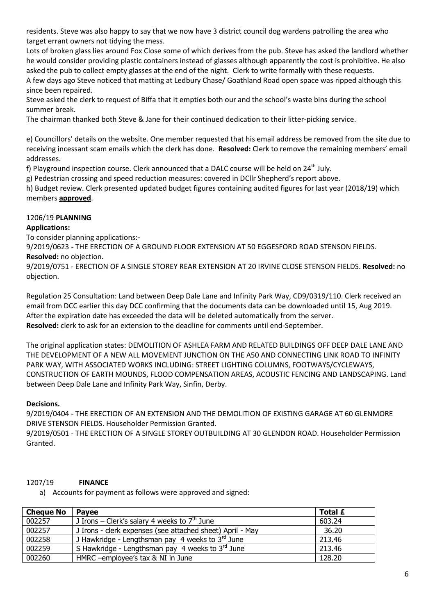residents. Steve was also happy to say that we now have 3 district council dog wardens patrolling the area who target errant owners not tidying the mess.

Lots of broken glass lies around Fox Close some of which derives from the pub. Steve has asked the landlord whether he would consider providing plastic containers instead of glasses although apparently the cost is prohibitive. He also asked the pub to collect empty glasses at the end of the night. Clerk to write formally with these requests. A few days ago Steve noticed that matting at Ledbury Chase/ Goathland Road open space was ripped although this

since been repaired.

Steve asked the clerk to request of Biffa that it empties both our and the school's waste bins during the school summer break.

The chairman thanked both Steve & Jane for their continued dedication to their litter-picking service.

e) Councillors' details on the website. One member requested that his email address be removed from the site due to receiving incessant scam emails which the clerk has done. **Resolved:** Clerk to remove the remaining members' email addresses.

f) Playground inspection course. Clerk announced that a DALC course will be held on 24<sup>th</sup> July.

g) Pedestrian crossing and speed reduction measures: covered in DCllr Shepherd's report above.

h) Budget review. Clerk presented updated budget figures containing audited figures for last year (2018/19) which members **approved**.

# 1206/19 **PLANNING**

# **Applications:**

To consider planning applications:-

9/2019/0623 - THE ERECTION OF A GROUND FLOOR EXTENSION AT 50 EGGESFORD ROAD STENSON FIELDS. **Resolved:** no objection.

9/2019/0751 - ERECTION OF A SINGLE STOREY REAR EXTENSION AT 20 IRVINE CLOSE STENSON FIELDS. **Resolved:** no objection.

Regulation 25 Consultation: Land between Deep Dale Lane and Infinity Park Way, CD9/0319/110. Clerk received an email from DCC earlier this day DCC confirming that the documents data can be downloaded until 15, Aug 2019. After the expiration date has exceeded the data will be deleted automatically from the server. **Resolved:** clerk to ask for an extension to the deadline for comments until end-September.

The original application states: DEMOLITION OF ASHLEA FARM AND RELATED BUILDINGS OFF DEEP DALE LANE AND THE DEVELOPMENT OF A NEW ALL MOVEMENT JUNCTION ON THE A50 AND CONNECTING LINK ROAD TO INFINITY PARK WAY, WITH ASSOCIATED WORKS INCLUDING: STREET LIGHTING COLUMNS, FOOTWAYS/CYCLEWAYS, CONSTRUCTION OF EARTH MOUNDS, FLOOD COMPENSATION AREAS, ACOUSTIC FENCING AND LANDSCAPING. Land between Deep Dale Lane and Infinity Park Way, Sinfin, Derby.

# **Decisions.**

9/2019/0404 - THE ERECTION OF AN EXTENSION AND THE DEMOLITION OF EXISTING GARAGE AT 60 GLENMORE DRIVE STENSON FIELDS. Householder Permission Granted.

9/2019/0501 - THE ERECTION OF A SINGLE STOREY OUTBUILDING AT 30 GLENDON ROAD. Householder Permission Granted.

# 1207/19 **FINANCE**

a) Accounts for payment as follows were approved and signed:

| <b>Cheque No</b> | <b>Pavee</b>                                              | Total £ |
|------------------|-----------------------------------------------------------|---------|
| 002257           | J Irons – Clerk's salary 4 weeks to $7th$ June            | 603.24  |
| 002257           | J Irons - clerk expenses (see attached sheet) April - May | 36.20   |
| 002258           | J Hawkridge - Lengthsman pay 4 weeks to $3rd$ June        | 213.46  |
| 002259           | S Hawkridge - Lengthsman pay 4 weeks to $3rd$ June        | 213.46  |
| 002260           | HMRC -employee's tax & NI in June                         | 128.20  |